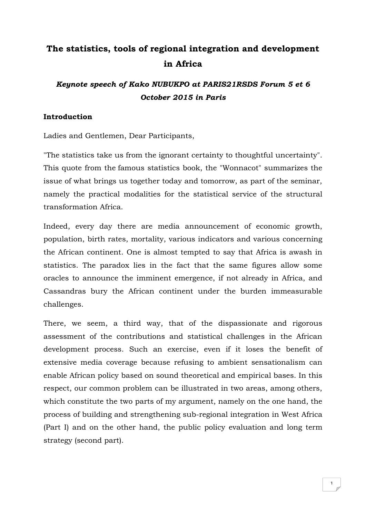# **The statistics, tools of regional integration and development in Africa**

# *Keynote speech of Kako NUBUKPO at PARIS21RSDS Forum 5 et 6 October 2015 in Paris*

### **Introduction**

Ladies and Gentlemen, Dear Participants,

"The statistics take us from the ignorant certainty to thoughtful uncertainty". This quote from the famous statistics book, the "Wonnacot" summarizes the issue of what brings us together today and tomorrow, as part of the seminar, namely the practical modalities for the statistical service of the structural transformation Africa.

Indeed, every day there are media announcement of economic growth, population, birth rates, mortality, various indicators and various concerning the African continent. One is almost tempted to say that Africa is awash in statistics. The paradox lies in the fact that the same figures allow some oracles to announce the imminent emergence, if not already in Africa, and Cassandras bury the African continent under the burden immeasurable challenges.

There, we seem, a third way, that of the dispassionate and rigorous assessment of the contributions and statistical challenges in the African development process. Such an exercise, even if it loses the benefit of extensive media coverage because refusing to ambient sensationalism can enable African policy based on sound theoretical and empirical bases. In this respect, our common problem can be illustrated in two areas, among others, which constitute the two parts of my argument, namely on the one hand, the process of building and strengthening sub-regional integration in West Africa (Part I) and on the other hand, the public policy evaluation and long term strategy (second part).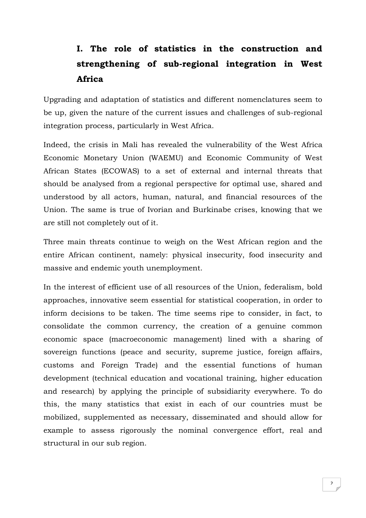# **I. The role of statistics in the construction and strengthening of sub-regional integration in West Africa**

Upgrading and adaptation of statistics and different nomenclatures seem to be up, given the nature of the current issues and challenges of sub-regional integration process, particularly in West Africa.

Indeed, the crisis in Mali has revealed the vulnerability of the West Africa Economic Monetary Union (WAEMU) and Economic Community of West African States (ECOWAS) to a set of external and internal threats that should be analysed from a regional perspective for optimal use, shared and understood by all actors, human, natural, and financial resources of the Union. The same is true of Ivorian and Burkinabe crises, knowing that we are still not completely out of it.

Three main threats continue to weigh on the West African region and the entire African continent, namely: physical insecurity, food insecurity and massive and endemic youth unemployment.

In the interest of efficient use of all resources of the Union, federalism, bold approaches, innovative seem essential for statistical cooperation, in order to inform decisions to be taken. The time seems ripe to consider, in fact, to consolidate the common currency, the creation of a genuine common economic space (macroeconomic management) lined with a sharing of sovereign functions (peace and security, supreme justice, foreign affairs, customs and Foreign Trade) and the essential functions of human development (technical education and vocational training, higher education and research) by applying the principle of subsidiarity everywhere. To do this, the many statistics that exist in each of our countries must be mobilized, supplemented as necessary, disseminated and should allow for example to assess rigorously the nominal convergence effort, real and structural in our sub region.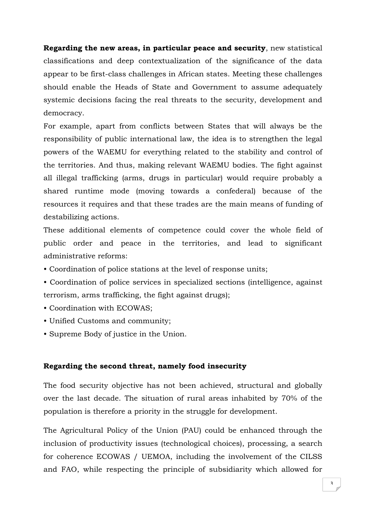**Regarding the new areas, in particular peace and security**, new statistical classifications and deep contextualization of the significance of the data appear to be first-class challenges in African states. Meeting these challenges should enable the Heads of State and Government to assume adequately systemic decisions facing the real threats to the security, development and democracy.

For example, apart from conflicts between States that will always be the responsibility of public international law, the idea is to strengthen the legal powers of the WAEMU for everything related to the stability and control of the territories. And thus, making relevant WAEMU bodies. The fight against all illegal trafficking (arms, drugs in particular) would require probably a shared runtime mode (moving towards a confederal) because of the resources it requires and that these trades are the main means of funding of destabilizing actions.

These additional elements of competence could cover the whole field of public order and peace in the territories, and lead to significant administrative reforms:

- Coordination of police stations at the level of response units;
- Coordination of police services in specialized sections (intelligence, against terrorism, arms trafficking, the fight against drugs);
- Coordination with ECOWAS;
- Unified Customs and community;
- Supreme Body of justice in the Union.

### **Regarding the second threat, namely food insecurity**

The food security objective has not been achieved, structural and globally over the last decade. The situation of rural areas inhabited by 70% of the population is therefore a priority in the struggle for development.

The Agricultural Policy of the Union (PAU) could be enhanced through the inclusion of productivity issues (technological choices), processing, a search for coherence ECOWAS / UEMOA, including the involvement of the CILSS and FAO, while respecting the principle of subsidiarity which allowed for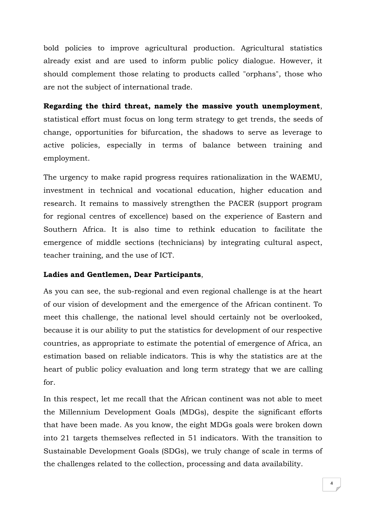bold policies to improve agricultural production. Agricultural statistics already exist and are used to inform public policy dialogue. However, it should complement those relating to products called "orphans", those who are not the subject of international trade.

**Regarding the third threat, namely the massive youth unemployment**, statistical effort must focus on long term strategy to get trends, the seeds of change, opportunities for bifurcation, the shadows to serve as leverage to active policies, especially in terms of balance between training and employment.

The urgency to make rapid progress requires rationalization in the WAEMU, investment in technical and vocational education, higher education and research. It remains to massively strengthen the PACER (support program for regional centres of excellence) based on the experience of Eastern and Southern Africa. It is also time to rethink education to facilitate the emergence of middle sections (technicians) by integrating cultural aspect, teacher training, and the use of ICT.

### **Ladies and Gentlemen, Dear Participants**,

As you can see, the sub-regional and even regional challenge is at the heart of our vision of development and the emergence of the African continent. To meet this challenge, the national level should certainly not be overlooked, because it is our ability to put the statistics for development of our respective countries, as appropriate to estimate the potential of emergence of Africa, an estimation based on reliable indicators. This is why the statistics are at the heart of public policy evaluation and long term strategy that we are calling for.

In this respect, let me recall that the African continent was not able to meet the Millennium Development Goals (MDGs), despite the significant efforts that have been made. As you know, the eight MDGs goals were broken down into 21 targets themselves reflected in 51 indicators. With the transition to Sustainable Development Goals (SDGs), we truly change of scale in terms of the challenges related to the collection, processing and data availability.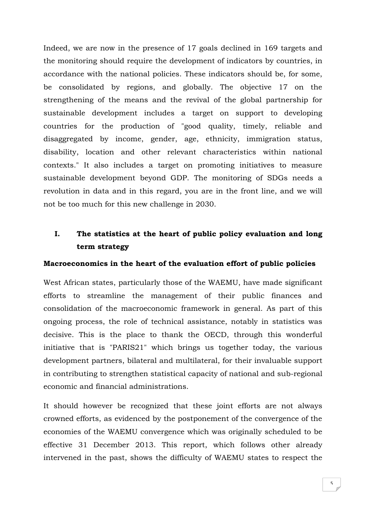Indeed, we are now in the presence of 17 goals declined in 169 targets and the monitoring should require the development of indicators by countries, in accordance with the national policies. These indicators should be, for some, be consolidated by regions, and globally. The objective 17 on the strengthening of the means and the revival of the global partnership for sustainable development includes a target on support to developing countries for the production of "good quality, timely, reliable and disaggregated by income, gender, age, ethnicity, immigration status, disability, location and other relevant characteristics within national contexts." It also includes a target on promoting initiatives to measure sustainable development beyond GDP. The monitoring of SDGs needs a revolution in data and in this regard, you are in the front line, and we will not be too much for this new challenge in 2030.

# **I. The statistics at the heart of public policy evaluation and long term strategy**

### **Macroeconomics in the heart of the evaluation effort of public policies**

West African states, particularly those of the WAEMU, have made significant efforts to streamline the management of their public finances and consolidation of the macroeconomic framework in general. As part of this ongoing process, the role of technical assistance, notably in statistics was decisive. This is the place to thank the OECD, through this wonderful initiative that is "PARIS21" which brings us together today, the various development partners, bilateral and multilateral, for their invaluable support in contributing to strengthen statistical capacity of national and sub-regional economic and financial administrations.

It should however be recognized that these joint efforts are not always crowned efforts, as evidenced by the postponement of the convergence of the economies of the WAEMU convergence which was originally scheduled to be effective 31 December 2013. This report, which follows other already intervened in the past, shows the difficulty of WAEMU states to respect the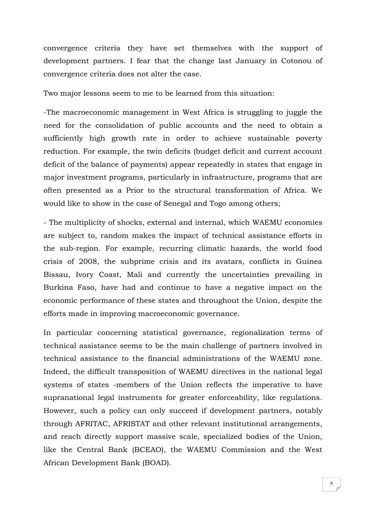convergence criteria they have set themselves with the support of development partners. I fear that the change last January in Cotonou of convergence criteria does not alter the case.

Two major lessons seem to me to be learned from this situation:

-The macroeconomic management in West Africa is struggling to juggle the need for the consolidation of public accounts and the need to obtain a sufficiently high growth rate in order to achieve sustainable poverty reduction. For example, the twin deficits (budget deficit and current account deficit of the balance of payments) appear repeatedly in states that engage in major investment programs, particularly in infrastructure, programs that are often presented as a Prior to the structural transformation of Africa. We would like to show in the case of Senegal and Togo among others;

- The multiplicity of shocks, external and internal, which WAEMU economies are subject to, random makes the impact of technical assistance efforts in the sub-region. For example, recurring climatic hazards, the world food crisis of 2008, the subprime crisis and its avatars, conflicts in Guinea Bissau, Ivory Coast, Mali and currently the uncertainties prevailing in Burkina Faso, have had and continue to have a negative impact on the economic performance of these states and throughout the Union, despite the efforts made in improving macroeconomic governance.

In particular concerning statistical governance, regionalization terms of technical assistance seems to be the main challenge of partners involved in technical assistance to the financial administrations of the WAEMU zone. Indeed, the difficult transposition of WAEMU directives in the national legal systems of states -members of the Union reflects the imperative to have supranational legal instruments for greater enforceability, like regulations. However, such a policy can only succeed if development partners, notably through AFRITAC, AFRISTAT and other relevant institutional arrangements, and reach directly support massive scale, specialized bodies of the Union, like the Central Bank (BCEAO), the WAEMU Commission and the West African Development Bank (BOAD).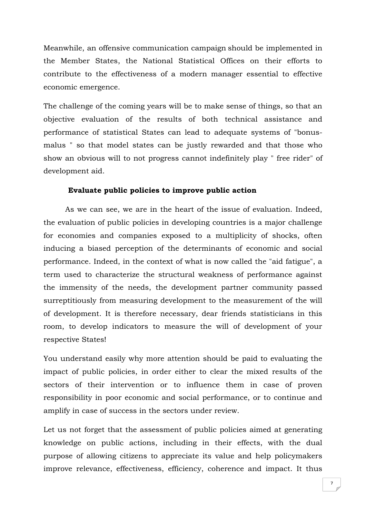Meanwhile, an offensive communication campaign should be implemented in the Member States, the National Statistical Offices on their efforts to contribute to the effectiveness of a modern manager essential to effective economic emergence.

The challenge of the coming years will be to make sense of things, so that an objective evaluation of the results of both technical assistance and performance of statistical States can lead to adequate systems of "bonusmalus " so that model states can be justly rewarded and that those who show an obvious will to not progress cannot indefinitely play " free rider" of development aid.

#### **Evaluate public policies to improve public action**

As we can see, we are in the heart of the issue of evaluation. Indeed, the evaluation of public policies in developing countries is a major challenge for economies and companies exposed to a multiplicity of shocks, often inducing a biased perception of the determinants of economic and social performance. Indeed, in the context of what is now called the "aid fatigue", a term used to characterize the structural weakness of performance against the immensity of the needs, the development partner community passed surreptitiously from measuring development to the measurement of the will of development. It is therefore necessary, dear friends statisticians in this room, to develop indicators to measure the will of development of your respective States!

You understand easily why more attention should be paid to evaluating the impact of public policies, in order either to clear the mixed results of the sectors of their intervention or to influence them in case of proven responsibility in poor economic and social performance, or to continue and amplify in case of success in the sectors under review.

Let us not forget that the assessment of public policies aimed at generating knowledge on public actions, including in their effects, with the dual purpose of allowing citizens to appreciate its value and help policymakers improve relevance, effectiveness, efficiency, coherence and impact. It thus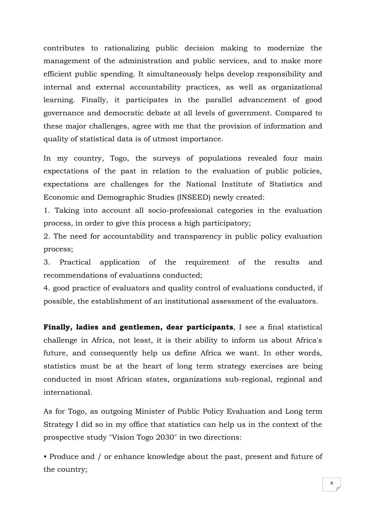contributes to rationalizing public decision making to modernize the management of the administration and public services, and to make more efficient public spending. It simultaneously helps develop responsibility and internal and external accountability practices, as well as organizational learning. Finally, it participates in the parallel advancement of good governance and democratic debate at all levels of government. Compared to these major challenges, agree with me that the provision of information and quality of statistical data is of utmost importance.

In my country, Togo, the surveys of populations revealed four main expectations of the past in relation to the evaluation of public policies, expectations are challenges for the National Institute of Statistics and Economic and Demographic Studies (INSEED) newly created:

1. Taking into account all socio-professional categories in the evaluation process, in order to give this process a high participatory;

2. The need for accountability and transparency in public policy evaluation process;

3. Practical application of the requirement of the results and recommendations of evaluations conducted;

4. good practice of evaluators and quality control of evaluations conducted, if possible, the establishment of an institutional assessment of the evaluators.

**Finally, ladies and gentlemen, dear participants**, I see a final statistical challenge in Africa, not least, it is their ability to inform us about Africa's future, and consequently help us define Africa we want. In other words, statistics must be at the heart of long term strategy exercises are being conducted in most African states, organizations sub-regional, regional and international.

As for Togo, as outgoing Minister of Public Policy Evaluation and Long term Strategy I did so in my office that statistics can help us in the context of the prospective study "Vision Togo 2030" in two directions:

• Produce and / or enhance knowledge about the past, present and future of the country;